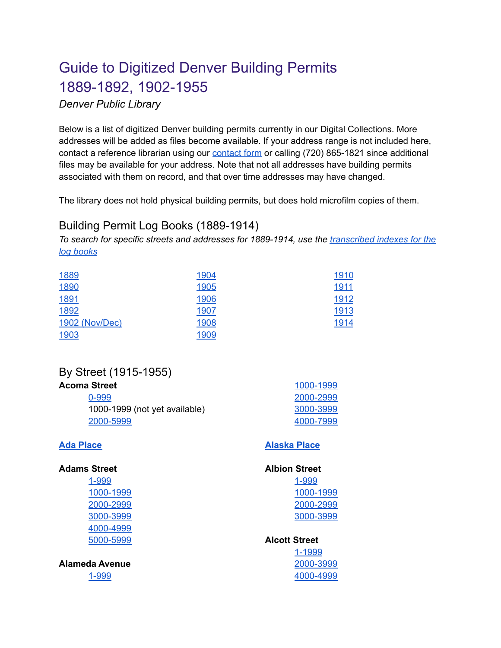# Guide to Digitized Denver Building Permits 1889-1892, 1902-1955

*Denver Public Library*

Below is a list of digitized Denver building permits currently in our Digital Collections. More addresses will be added as files become available. If your address range is not included here, contact a reference librarian using our [contact](https://history.denverlibrary.org/contact-us) form or calling (720) 865-1821 since additional files may be available for your address. Note that not all addresses have building permits associated with them on record, and that over time addresses may have changed.

The library does not hold physical building permits, but does hold microfilm copies of them.

## Building Permit Log Books (1889-1914)

*To search for specific streets and addresses for 1889-1914, use the [transcribed](https://digital.denverlibrary.org/digital/collection/p16079coll8/search) indexes for the log [books](https://digital.denverlibrary.org/digital/collection/p16079coll8/search)*

| 1889           | 1904        | 1910 |
|----------------|-------------|------|
| 1890           | <b>1905</b> | 1911 |
| 1891           | 1906        | 1912 |
| 1892           | 1907        | 1913 |
| 1902 (Nov/Dec) | 1908        | 1914 |
| 1903           | 1909        |      |

## By Street (1915-1955)

| Acoma Street                  | 1000-1999 |
|-------------------------------|-----------|
| 0-999                         | 2000-2999 |
| 1000-1999 (not yet available) | 3000-3999 |
| 2000-5999                     | 4000-7999 |

## **Ada [Place](https://digital.denverlibrary.org/digital/collection/p16079coll77/id/1816/rec/20)**

[1-999](https://digital.denverlibrary.org/digital/collection/p16079coll77/id/5112/rec/27)

**[Alaska](https://digital.denverlibrary.org/digital/collection/p16079coll77/id/6249/rec/34) Place**

[4000-4999](https://digital.denverlibrary.org/digital/collection/p16079coll77/id/7506/rec/41)

| <b>Adams Street</b>   | <b>Albion Street</b> |
|-----------------------|----------------------|
| 1-999                 | 1-999                |
| 1000-1999             | 1000-1999            |
| 2000-2999             | 2000-2999            |
| 3000-3999             | 3000-3999            |
| 4000-4999             |                      |
| 5000-5999             | <b>Alcott Street</b> |
|                       | 1-1999               |
| <b>Alameda Avenue</b> | 2000-3999            |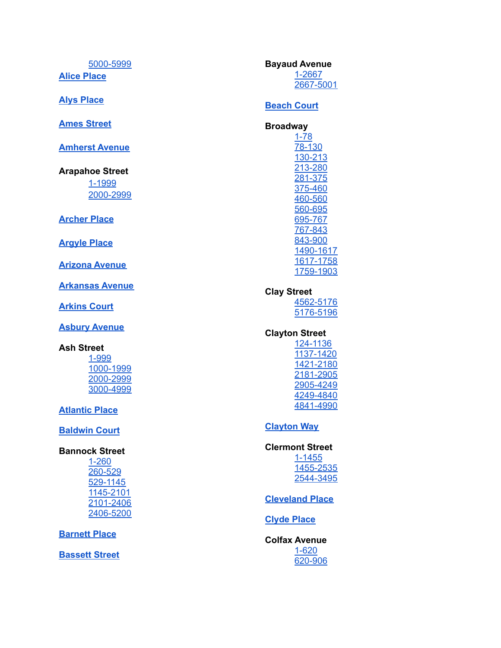5000-5999

**Alice Place** 

**Alys Place** 

**Ames Street** 

**Amherst Avenue** 

**Arapahoe Street** 1-1999 2000-2999

**Archer Place** 

**Argyle Place** 

**Arizona Avenue** 

**Arkansas Avenue** 

**Arkins Court** 

**Asbury Avenue** 

#### **Ash Street**

1-999 1000-1999 2000-2999 3000-4999

**Atlantic Place** 

**Baldwin Court** 

## **Bannock Street**

 $1 - 260$ 260-529 529-1145 1145-2101 2101-2406 2406-5200

**Barnett Place** 

**Bassett Street** 

**Bayaud Avenue** 1-2667 2667-5001

## **Beach Court**

**Broadway**  $1 - 78$ 78-130 130-213 213-280 281-375 375-460 460-560 560-695

695-767 767-843 843-900 1490-1617 1617-1758 1759-1903

## **Clay Street**

4562-5176 5176-5196

## **Clayton Street**

124-1136 1137-1420 1421-2180 2181-2905 2905-4249 4249-4840 4841-4990

## **Clayton Way**

#### **Clermont Street**

 $1 - 1455$ 1455-2535 2544-3495

**Cleveland Place** 

## **Clyde Place**

**Colfax Avenue**  $1 - 620$ 620-906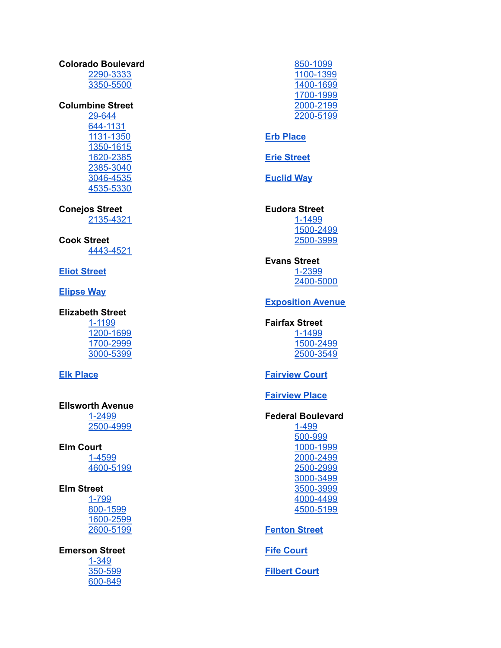#### **Colorado Boulevard**

2290-3333 3350-5500

## **Columbine Street**

29-644 644-1131 1131-1350 1350-1615 1620-2385 2385-3040 3046-4535 4535-5330

**Conejos Street** 2135-4321

**Cook Street** 4443-4521

**Eliot Street** 

**Elipse Way** 

## **Elizabeth Street**

1-1199 1200-1699 1700-2999 3000-5399

## **Elk Place**

## **Ellsworth Avenue**

1-2499 2500-4999

**Elm Court** 1-4599 4600-5199

## **Elm Street**

1-799 800-1599 1600-2599 2600-5199

## **Emerson Street**

 $1 - 349$ 350-599 600-849 850-1099 1100-1399 1400-1699 1700-1999 2000-2199 2200-5199

## **Erb Place**

**Erie Street** 

**Euclid Way** 

#### **Eudora Street** 1-1499 1500-2499 2500-3999

**Evans Street** 1-2399 2400-5000

## **Exposition Avenue**

#### **Fairfax Street** 1-1499 1500-2499 2500-3549

## **Fairview Court**

**Fairview Place** 

## **Federal Boulevard**

1-499 500-999 1000-1999 2000-2499 2500-2999 3000-3499 3500-3999 4000-4499 4500-5199

## **Fenton Street**

**Fife Court** 

**Filbert Court**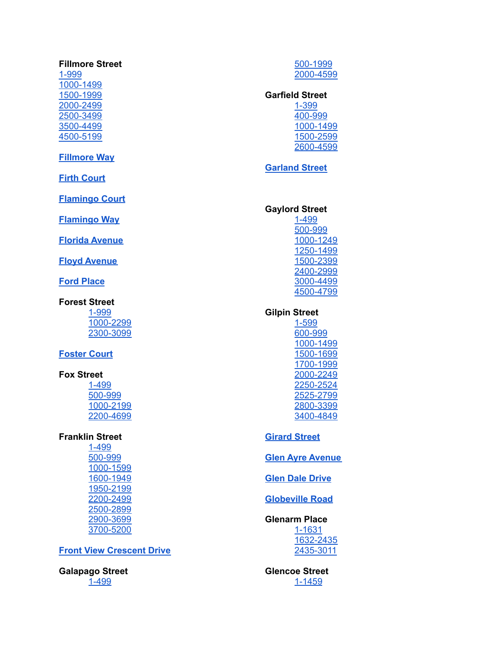## **Fillmore Street**

-999 000-1499 500-1999 000-2499 500-3499 500-4499 500-5199

## **<u><b>Fillmore [Wa](https://digital.denverlibrary.org/digital/collection/p16079coll77/id/35603/rec/116)y</u>**</u>

**Firth [C](https://digital.denverlibrary.org/digital/collection/p16079coll77/id/34084/rec/117)ourt** 

**Fla[m](https://digital.denverlibrary.org/digital/collection/p16079coll77/id/32861/rec/118)ingo Court** 

**Flamingo [Wa](https://digital.denverlibrary.org/digital/collection/p16079coll77/id/32861/rec/118)y** 

**<u><del><b>Florida [Av](https://digital.denverlibrary.org/digital/collection/p16079coll77/id/28053/rec/119)enue</u>**</u></del>

**Floyd [Av](https://digital.denverlibrary.org/digital/collection/p16079coll77/id/32554/rec/120)enue** 

**Ford [P](https://digital.denverlibrary.org/digital/collection/p16079coll77/id/27202/rec/121)lace** 

#### **Forest Street**

-999 000-2299 300-3099

#### **Foster [C](https://digital.denverlibrary.org/digital/collection/p16079coll77/id/34848/rec/125)ourt**

## **Fox Street**

-499 00-999 000-2199 200-4699

#### **Franklin Street**

-499 00-999 000-1599 600-1949 950-2199 200-2499 500-2899 900-3699 700-5200

#### **Front Vie[w](https://digital.denverlibrary.org/digital/collection/p16079coll77/id/35532/rec/139) Crescent Drive**

**Galapago Street** - 4 9 9

00-1999 000-4599

#### Garfield Street -399

00-999 000-1499 500-2599 600-4599

## **<u>[G](https://digital.denverlibrary.org/digital/collection/p16079coll77/id/40047/rec/148)arland Street</u>**

## **Gaylord Street**

-499 00-999 000-1249 250-1499 500-2399 400-2999 000-4499 500-4799

#### **Gilpin Street**

 - 5 9 9 00-999 000-1499 500-1699 700-1999 000-2249 250-2524 525-2799 800-3399 400-4849

#### **<u>Sirard Street</u>**

**<u>Glen [Ay](https://digital.denverlibrary.org/digital/collection/p16079coll77/id/46336/rec/168)re Avenue</u>** 

**<u>[G](https://digital.denverlibrary.org/digital/collection/p16079coll77/id/46533/rec/169)len Dale Drive</u>** 

**<u><b>[G](https://digital.denverlibrary.org/digital/collection/p16079coll77/id/46533/rec/169)lobeville Road</u>**</u>

#### **Glenarm Place**

-1631 632-2435 435-3011

Glencoe Street <u>[1](https://digital.denverlibrary.org/digital/collection/p16079coll77/id/47339/rec/173)-1459</u>